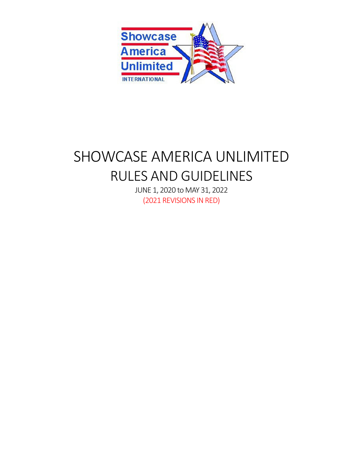

# SHOWCASE AMERICA UNLIMITED RULES AND GUIDELINES

JUNE 1, 2020 to MAY 31, 2022 (2021 REVISIONS IN RED)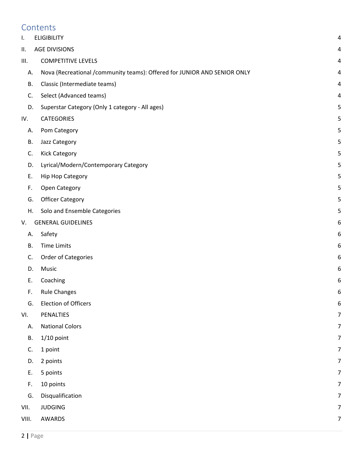# **Contents**

| I.        | <b>ELIGIBILITY</b>                                                       | 4 |
|-----------|--------------------------------------------------------------------------|---|
| ΙΙ.       | <b>AGE DIVISIONS</b>                                                     | 4 |
| III.      | <b>COMPETITIVE LEVELS</b>                                                | 4 |
| А.        | Nova (Recreational /community teams): Offered for JUNIOR AND SENIOR ONLY | 4 |
| В.        | Classic (Intermediate teams)                                             | 4 |
| C.        | Select (Advanced teams)                                                  | 4 |
| D.        | Superstar Category (Only 1 category - All ages)                          | 5 |
| IV.       | <b>CATEGORIES</b>                                                        | 5 |
| А.        | Pom Category                                                             | 5 |
| В.        | Jazz Category                                                            | 5 |
| C.        | <b>Kick Category</b>                                                     | 5 |
| D.        | Lyrical/Modern/Contemporary Category                                     | 5 |
| Ε.        | <b>Hip Hop Category</b>                                                  | 5 |
| F.        | Open Category                                                            | 5 |
| G.        | <b>Officer Category</b>                                                  | 5 |
| Η.        | Solo and Ensemble Categories                                             | 5 |
| V.        | <b>GENERAL GUIDELINES</b>                                                | 6 |
| Α.        | Safety                                                                   | 6 |
| <b>B.</b> | <b>Time Limits</b>                                                       | 6 |
| C.        | Order of Categories                                                      | 6 |
| D.        | Music                                                                    | 6 |
| Ε.        | Coaching                                                                 | 6 |
| F.        | <b>Rule Changes</b>                                                      | 6 |
| G.        | <b>Election of Officers</b>                                              | 6 |
| VI.       | PENALTIES                                                                | 7 |
| Α.        | <b>National Colors</b>                                                   | 7 |
| В.        | $1/10$ point                                                             | 7 |
| C.        | 1 point                                                                  | 7 |
| D.        | 2 points                                                                 | 7 |
| Ε.        | 5 points                                                                 | 7 |
| F.        | 10 points                                                                | 7 |
| G.        | Disqualification                                                         | 7 |
| VII.      | <b>JUDGING</b>                                                           | 7 |
| VIII.     | AWARDS                                                                   | 7 |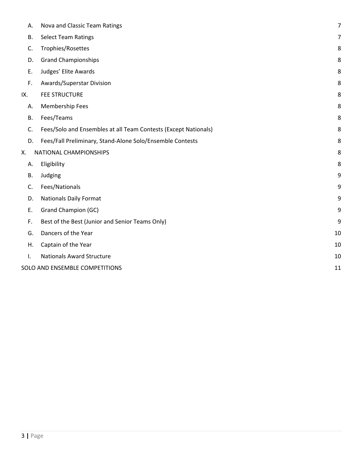| Α.        | Nova and Classic Team Ratings                                   | $\overline{7}$ |
|-----------|-----------------------------------------------------------------|----------------|
| В.        | <b>Select Team Ratings</b>                                      | 7              |
| C.        | Trophies/Rosettes                                               | 8              |
| D.        | <b>Grand Championships</b>                                      | 8              |
| Ε.        | Judges' Elite Awards                                            | 8              |
| F.        | Awards/Superstar Division                                       | 8              |
| IX.       | <b>FEE STRUCTURE</b>                                            | 8              |
| А.        | Membership Fees                                                 | 8              |
| <b>B.</b> | Fees/Teams                                                      | 8              |
| C.        | Fees/Solo and Ensembles at all Team Contests (Except Nationals) | 8              |
| D.        | Fees/Fall Preliminary, Stand-Alone Solo/Ensemble Contests       | 8              |
| Х.        | NATIONAL CHAMPIONSHIPS                                          | 8              |
| А.        | Eligibility                                                     | 8              |
| В.        | Judging                                                         | 9              |
| C.        | Fees/Nationals                                                  | 9              |
| D.        | <b>Nationals Daily Format</b>                                   | 9              |
| Ε.        | <b>Grand Champion (GC)</b>                                      | 9              |
| F.        | Best of the Best (Junior and Senior Teams Only)                 | 9              |
| G.        | Dancers of the Year                                             | 10             |
| Η.        | Captain of the Year                                             | 10             |
| Ι.        | <b>Nationals Award Structure</b>                                | 10             |
|           | SOLO AND ENSEMBLE COMPETITIONS                                  | 11             |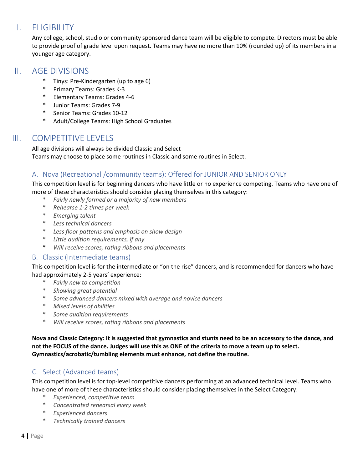# I. ELIGIBILITY

Any college, school, studio or community sponsored dance team will be eligible to compete. Directors must be able to provide proof of grade level upon request. Teams may have no more than 10% (rounded up) of its members in a younger age category.

# II. AGE DIVISIONS

- Tinys: Pre-Kindergarten (up to age 6)
- \* Primary Teams: Grades K‐3
- \* Elementary Teams: Grades 4‐6
- \* Junior Teams: Grades 7‐9
- \* Senior Teams: Grades 10‐12
- \* Adult/College Teams: High School Graduates

# III. COMPETITIVE LEVELS

All age divisions will always be divided Classic and Select Teams may choose to place some routines in Classic and some routines in Select.

# A. Nova (Recreational /community teams): Offered for JUNIOR AND SENIOR ONLY

This competition level is for beginning dancers who have little or no experience competing. Teams who have one of more of these characteristics should consider placing themselves in this category:

- \* *Fairly newly formed or a majority of new members*
- \* *Rehearse 1‐2 times per week*
- \* *Emerging talent*
- \* *Less technical dancers*
- \* *Less floor patterns and emphasis on show design*
- \* *Little audition requirements, if any*
- \* *Will receive scores, rating ribbons and placements*

# B. Classic (Intermediate teams)

This competition level is for the intermediate or "on the rise" dancers, and is recommended for dancers who have had approximately 2‐5 years' experience:

- \* *Fairly new to competition*
- \* *Showing great potential*
- \* *Some advanced dancers mixed with average and novice dancers*
- \* *Mixed levels of abilities*
- \* *Some audition requirements*
- \* *Will receive scores, rating ribbons and placements*

Nova and Classic Category: It is suggested that gymnastics and stunts need to be an accessory to the dance, and not the FOCUS of the dance. Judges will use this as ONE of the criteria to move a team up to select. **Gymnastics/acrobatic/tumbling elements must enhance, not define the routine.**

# C. Select (Advanced teams)

This competition level is for top‐level competitive dancers performing at an advanced technical level. Teams who have one of more of these characteristics should consider placing themselves in the Select Category:

- \* *Experienced, competitive team*
- \* *Concentrated rehearsal every week*
- \* *Experienced dancers*
- \* *Technically trained dancers*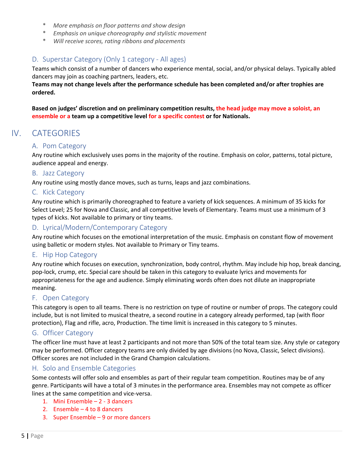- \* *More emphasis on floor patterns and show design*
- \* *Emphasis on unique choreography and stylistic movement*
- \* *Will receive scores, rating ribbons and placements*

# D. Superstar Category (Only 1 category ‐ All ages)

Teams which consist of a number of dancers who experience mental, social, and/or physical delays. Typically abled dancers may join as coaching partners, leaders, etc.

**Teams may not change levels after the performance schedule has been completed and/or after trophies are ordered.** 

**Based on judges' discretion and on preliminary competition results, the head judge may move a soloist, an ensemble or a team up a competitive level for a specific contest or for Nationals.**

# IV. CATEGORIES

## A. Pom Category

Any routine which exclusively uses poms in the majority of the routine. Emphasis on color, patterns, total picture, audience appeal and energy.

#### B. Jazz Category

Any routine using mostly dance moves, such as turns, leaps and jazz combinations.

#### C. Kick Category

Any routine which is primarily choreographed to feature a variety of kick sequences. A minimum of 35 kicks for Select Level; 25 for Nova and Classic, and all competitive levels of Elementary. Teams must use a minimum of 3 types of kicks. Not available to primary or tiny teams.

## D. Lyrical/Modern/Contemporary Category

Any routine which focuses on the emotional interpretation of the music. Emphasis on constant flow of movement using balletic or modern styles. Not available to Primary or Tiny teams.

#### E. Hip Hop Category

Any routine which focuses on execution, synchronization, body control, rhythm. May include hip hop, break dancing, pop‐lock, crump, etc. Special care should be taken in this category to evaluate lyrics and movements for appropriateness for the age and audience. Simply eliminating words often does not dilute an inappropriate meaning.

#### F. Open Category

This category is open to all teams. There is no restriction on type of routine or number of props. The category could include, but is not limited to musical theatre, a second routine in a category already performed, tap (with floor protection), Flag and rifle, acro, Production. The time limit is increased in this category to 5 minutes.

#### G. Officer Category

The officer line must have at least 2 participants and not more than 50% of the total team size. Any style or category may be performed. Officer category teams are only divided by age divisions (no Nova, Classic, Select divisions). Officer scores are not included in the Grand Champion calculations.

#### H. Solo and Ensemble Categories

Some contests will offer solo and ensembles as part of their regular team competition. Routines may be of any genre. Participants will have a total of 3 minutes in the performance area. Ensembles may not compete as officer lines at the same competition and vice‐versa.

- 1. Mini Ensemble 2 ‐ 3 dancers
- 2. Ensemble 4 to 8 dancers
- 3. Super Ensemble 9 or more dancers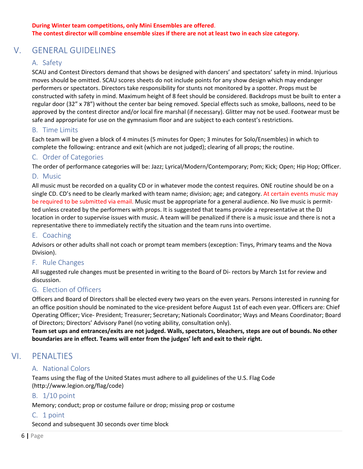# V. GENERAL GUIDELINES

# A. Safety

SCAU and Contest Directors demand that shows be designed with dancers' and spectators' safety in mind. Injurious moves should be omitted. SCAU scores sheets do not include points for any show design which may endanger performers or spectators. Directors take responsibility for stunts not monitored by a spotter. Props must be constructed with safety in mind. Maximum height of 8 feet should be considered. Backdrops must be built to enter a regular door (32" x 78") without the center bar being removed. Special effects such as smoke, balloons, need to be approved by the contest director and/or local fire marshal (if necessary). Glitter may not be used. Footwear must be safe and appropriate for use on the gymnasium floor and are subject to each contest's restrictions.

## B. Time Limits

Each team will be given a block of 4 minutes (5 minutes for Open; 3 minutes for Solo/Ensembles) in which to complete the following: entrance and exit (which are not judged); clearing of all props; the routine.

## C. Order of Categories

The order of performance categories will be: Jazz; Lyrical/Modern/Contemporary; Pom; Kick; Open; Hip Hop; Officer.

#### D. Music

All music must be recorded on a quality CD or in whatever mode the contest requires. ONE routine should be on a single CD. CD's need to be clearly marked with team name; division; age; and category. At certain events music may be required to be submitted via email. Music must be appropriate for a general audience. No live music is permitted unless created by the performers with props. It is suggested that teams provide a representative at the DJ location in order to supervise issues with music. A team will be penalized if there is a music issue and there is not a representative there to immediately rectify the situation and the team runs into overtime.

#### E. Coaching

Advisors or other adults shall not coach or prompt team members (exception: Tinys, Primary teams and the Nova Division).

#### F. Rule Changes

All suggested rule changes must be presented in writing to the Board of Di‐ rectors by March 1st for review and discussion.

#### G. Election of Officers

Officers and Board of Directors shall be elected every two years on the even years. Persons interested in running for an office position should be nominated to the vice-president before August 1st of each even year. Officers are: Chief Operating Officer; Vice‐ President; Treasurer; Secretary; Nationals Coordinator; Ways and Means Coordinator; Board of Directors; Directors' Advisory Panel (no voting ability, consultation only).

Team set ups and entrances/exits are not judged. Walls, spectators, bleachers, steps are out of bounds. No other **boundaries are in effect. Teams will enter from the judges' left and exit to their right.**

# VI. PENALTIES

# A. National Colors

Teams using the flag of the United States must adhere to all guidelines of the U.S. Flag Code (http://www.legion.org/flag/code)

#### B. 1/10 point

Memory; conduct; prop or costume failure or drop; missing prop or costume

#### C. 1 point

Second and subsequent 30 seconds over time block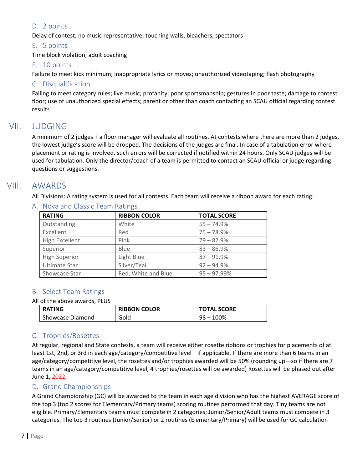# D. 2 points

Delay of contest; no music representative; touching walls, bleachers, spectators

## E. 5 points

Time block violation; adult coaching

#### F. 10 points

Failure to meet kick minimum; inappropriate lyrics or moves; unauthorized videotaping; flash photography

## G. Disqualification

Failing to meet category rules; live music; profanity; poor sportsmanship; gestures in poor taste; damage to contest floor; use of unauthorized special effects; parent or other than coach contacting an SCAU official regarding contest results

# VII. JUDGING

A minimum of 2 judges + a floor manager will evaluate all routines. At contests where there are more than 2 judges, the lowest judge's score will be dropped. The decisions of the judges are final. In case of a tabulation error where placement or rating is involved, such errors will be corrected if notified within 24 hours. Only SCAU judges will be used for tabulation. Only the director/coach of a team is permitted to contact an SCAU official or judge regarding questions or suggestions.

# VIII. AWARDS

All Divisions: A rating system is used for all contests. Each team will receive a ribbon award for each rating:

| <b>RATING</b>        | <b>RIBBON COLOR</b> | <b>TOTAL SCORE</b> |
|----------------------|---------------------|--------------------|
| Outstanding          | White               | $55 - 74.9%$       |
| Excellent            | Red                 | $75 - 78.9%$       |
| High Excellent       | Pink                | $79 - 82.9%$       |
| Superior             | Blue                | $83 - 86.9%$       |
| <b>High Superior</b> | Light Blue          | $87 - 91.9%$       |
| Ultimate Star        | Silver/Teal         | $92 - 94.9%$       |
| Showcase Star        | Red, White and Blue | $95 - 97.99%$      |

## A. Nova and Classic Team Ratings

# B. Select Team Ratings

#### All of the above awards, PLUS

| <b>RATING</b>    | <b>RIBBON COLOR</b> | <b>TOTAL SCORE</b> |
|------------------|---------------------|--------------------|
| Showcase Diamond | Gold                | $98 - 100%$        |

# C. Trophies/Rosettes

At regular, regional and State contests, a team will receive either rosette ribbons or trophies for placements of at least 1st, 2nd, or 3rd in each age/category/competitive level—if applicable. If there are more than 6 teams in an age/category/competitive level, the rosettes and/or trophies awarded will be 50% (rounding up—so if there are 7 teams in an age/category/competitive level, 4 trophies/rosettes will be awarded) Rosettes will be phased out after June 1, 2022.

# D. Grand Championships

A Grand Championship (GC) will be awarded to the team in each age division who has the highest AVERAGE score of the top 3 (top 2 scores for Elementary/Primary teams) scoring routines performed that day. Tiny teams are not eligible. Primary/Elementary teams must compete in 2 categories; Junior/Senior/Adult teams must compete in 3 categories. The top 3 routines (Junior/Senior) or 2 routines (Elementary/Primary) will be used for GC calculation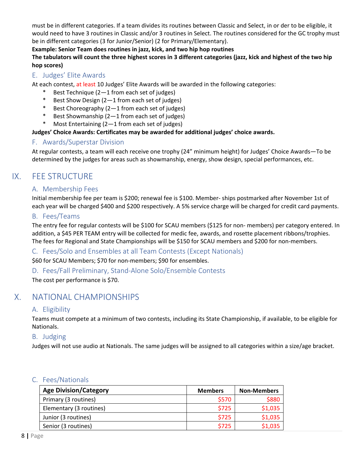must be in different categories. If a team divides its routines between Classic and Select, in or der to be eligible, it would need to have 3 routines in Classic and/or 3 routines in Select. The routines considered for the GC trophy must be in different categories (3 for Junior/Senior) (2 for Primary/Elementary).

#### **Example: Senior Team does routines in jazz, kick, and two hip hop routines**

## The tabulators will count the three highest scores in 3 different categories (jazz, kick and highest of the two hip **hop scores)**

# E. Judges' Elite Awards

At each contest, at least 10 Judges' Elite Awards will be awarded in the following categories:

- Best Technique  $(2-1$  from each set of judges)
- \* Best Show Design (2—1 from each set of judges)
- \* Best Choreography (2—1 from each set of judges)
- Best Showmanship  $(2-1$  from each set of judges)
- \* Most Entertaining (2—1 from each set of judges)

## **Judges' Choice Awards: Certificates may be awarded for additional judges' choice awards.**

# F. Awards/Superstar Division

At regular contests, a team will each receive one trophy (24" minimum height) for Judges' Choice Awards—To be determined by the judges for areas such as showmanship, energy, show design, special performances, etc.

# IX. FEE STRUCTURE

# A. Membership Fees

Initial membership fee per team is \$200; renewal fee is \$100. Member‐ ships postmarked after November 1st of each year will be charged \$400 and \$200 respectively. A 5% service charge will be charged for credit card payments.

# B. Fees/Teams

The entry fee for regular contests will be \$100 for SCAU members (\$125 for non‐ members) per category entered. In addition, a \$45 PER TEAM entry will be collected for medic fee, awards, and rosette placement ribbons/trophies. The fees for Regional and State Championships will be \$150 for SCAU members and \$200 for non-members.

# C. Fees/Solo and Ensembles at all Team Contests (Except Nationals)

\$60 for SCAU Members; \$70 for non‐members; \$90 for ensembles.

# D. Fees/Fall Preliminary, Stand‐Alone Solo/Ensemble Contests

The cost per performance is \$70.

# X. NATIONAL CHAMPIONSHIPS

# A. Eligibility

Teams must compete at a minimum of two contests, including its State Championship, if available, to be eligible for Nationals.

# B. Judging

Judges will not use audio at Nationals. The same judges will be assigned to all categories within a size/age bracket.

# C. Fees/Nationals

| <b>Age Division/Category</b> | <b>Members</b> | <b>Non-Members</b> |
|------------------------------|----------------|--------------------|
| Primary (3 routines)         | \$570          | \$880              |
| Elementary (3 routines)      | \$725          | \$1,035            |
| Junior (3 routines)          | \$725          | \$1,035            |
| Senior (3 routines)          | \$725          | \$1,035            |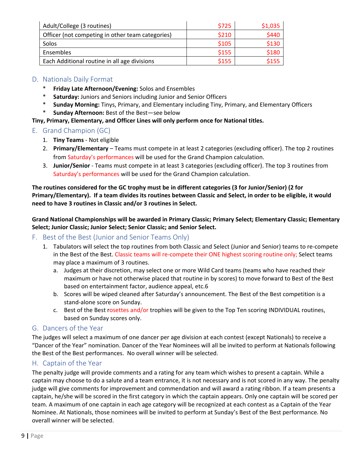| Adult/College (3 routines)                       | \$725 | \$1,035 |
|--------------------------------------------------|-------|---------|
| Officer (not competing in other team categories) | \$210 | \$440   |
| Solos                                            | \$105 | \$130   |
| Ensembles                                        | \$155 | \$180   |
| Each Additional routine in all age divisions     | \$155 | \$155   |

# D. Nationals Daily Format

- \* **Friday Late Afternoon/Evening:** Solos and Ensembles
- \* **Saturday:** Juniors and Seniors including Junior and Senior Officers
- \* **Sunday Morning:** Tinys, Primary, and Elementary including Tiny, Primary, and Elementary Officers
- **Sunday Afternoon:** Best of the Best-see below

## **Tiny, Primary, Elementary, and Officer Lines will only perform once for National titles.**

- E. Grand Champion (GC)
	- 1. **Tiny Teams** ‐ Not eligible
	- 2. **Primary/Elementary** Teams must compete in at least 2 categories (excluding officer). The top 2 routines from Saturday's performances will be used for the Grand Champion calculation.
	- 3. **Junior/Senior** ‐ Teams must compete in at least 3 categories (excluding officer). The top 3 routines from Saturday's performances will be used for the Grand Champion calculation.

**The routines considered for the GC trophy must be in different categories (3 for Junior/Senior) (2 for** Primary/Elementary). If a team divides its routines between Classic and Select, in order to be eligible, it would **need to have 3 routines in Classic and/or 3 routines in Select.** 

**Grand National Championships will be awarded in Primary Classic; Primary Select; Elementary Classic; Elementary Select; Junior Classic; Junior Select; Senior Classic; and Senior Select.**

## F. Best of the Best (Junior and Senior Teams Only)

- 1. Tabulators will select the top routines from both Classic and Select (Junior and Senior) teams to re‐compete in the Best of the Best. Classic teams will re-compete their ONE highest scoring routine only; Select teams may place a maximum of 3 routines.
	- a. Judges at their discretion, may select one or more Wild Card teams (teams who have reached their maximum or have not otherwise placed that routine in by scores) to move forward to Best of the Best based on entertainment factor, audience appeal, etc.6
	- b. Scores will be wiped cleaned after Saturday's announcement. The Best of the Best competition is a stand‐alone score on Sunday.
	- c. Best of the Best rosettes and/or trophies will be given to the Top Ten scoring INDIVIDUAL routines, based on Sunday scores only.

# G. Dancers of the Year

The judges will select a maximum of one dancer per age division at each contest (except Nationals) to receive a "Dancer of the Year" nomination. Dancer of the Year Nominees will all be invited to perform at Nationals following the Best of the Best performances. No overall winner will be selected.

# H. Captain of the Year

The penalty judge will provide comments and a rating for any team which wishes to present a captain. While a captain may choose to do a salute and a team entrance, it is not necessary and is not scored in any way. The penalty judge will give comments for improvement and commendation and will award a rating ribbon. If a team presents a captain, he/she will be scored in the first category in which the captain appears. Only one captain will be scored per team. A maximum of one captain in each age category will be recognized at each contest as a Captain of the Year Nominee. At Nationals, those nominees will be invited to perform at Sunday's Best of the Best performance. No overall winner will be selected.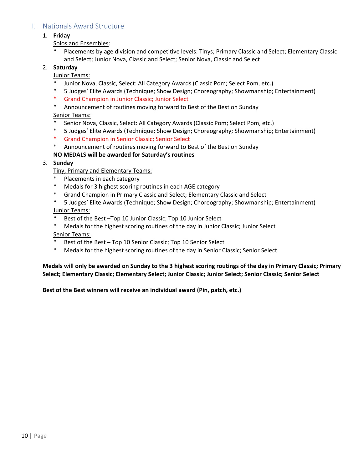# I. Nationals Award Structure

#### 1. **Friday**

Solos and Ensembles:

Placements by age division and competitive levels: Tinys; Primary Classic and Select; Elementary Classic and Select; Junior Nova, Classic and Select; Senior Nova, Classic and Select

#### 2. **Saturday**

Junior Teams:

- Junior Nova, Classic, Select: All Category Awards (Classic Pom; Select Pom, etc.)
- \* 5 Judges' Elite Awards (Technique; Show Design; Choreography; Showmanship; Entertainment)
- \* Grand Champion in Junior Classic; Junior Select
- \* Announcement of routines moving forward to Best of the Best on Sunday

Senior Teams:

- Senior Nova, Classic, Select: All Category Awards (Classic Pom; Select Pom, etc.)
- \* 5 Judges' Elite Awards (Technique; Show Design; Choreography; Showmanship; Entertainment)
- Grand Champion in Senior Classic; Senior Select
- \* Announcement of routines moving forward to Best of the Best on Sunday

#### **NO MEDALS will be awarded for Saturday's routines**

3. **Sunday**

Tiny, Primary and Elementary Teams:

- Placements in each category
- \* Medals for 3 highest scoring routines in each AGE category
- \* Grand Champion in Primary Classic and Select; Elementary Classic and Select
- \* 5 Judges' Elite Awards (Technique; Show Design; Choreography; Showmanship; Entertainment) Junior Teams:
- Best of the Best –Top 10 Junior Classic; Top 10 Junior Select
- \* Medals for the highest scoring routines of the day in Junior Classic; Junior Select

#### Senior Teams:

- Best of the Best Top 10 Senior Classic; Top 10 Senior Select
- \* Medals for the highest scoring routines of the day in Senior Classic; Senior Select

Medals will only be awarded on Sunday to the 3 highest scoring routings of the day in Primary Classic; Primary **Select; Elementary Classic; Elementary Select; Junior Classic; Junior Select; Senior Classic; Senior Select**

**Best of the Best winners will receive an individual award (Pin, patch, etc.)**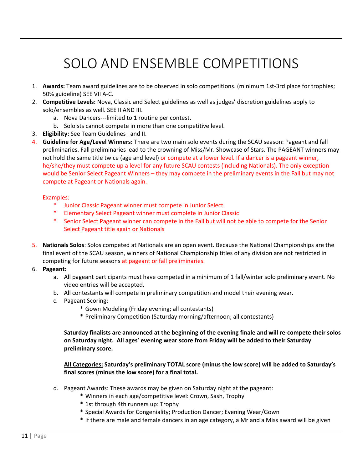# SOLO AND ENSEMBLE COMPETITIONS

- 1. Awards: Team award guidelines are to be observed in solo competitions. (minimum 1st-3rd place for trophies; 50% guideline) SEE VII A‐C.
- 2. **Competitive Levels:** Nova, Classic and Select guidelines as well as judges' discretion guidelines apply to solo/ensembles as well. SEE II AND III.
	- a. Nova Dancers‐‐‐limited to 1 routine per contest.
	- b. Soloists cannot compete in more than one competitive level.
- 3. **Eligibility:** See Team Guidelines I and II.
- 4. **Guideline for Age/Level Winners:** There are two main solo events during the SCAU season: Pageant and fall preliminaries. Fall preliminaries lead to the crowning of Miss/Mr. Showcase of Stars. The PAGEANT winners may not hold the same title twice (age and level) or compete at a lower level. If a dancer is a pageant winner, he/she/they must compete up a level for any future SCAU contests (including Nationals). The only exception would be Senior Select Pageant Winners – they may compete in the preliminary events in the Fall but may not compete at Pageant or Nationals again.

#### Examples:

- \* Junior Classic Pageant winner must compete in Junior Select
- **Elementary Select Pageant winner must complete in Junior Classic**
- \* Senior Select Pageant winner can compete in the Fall but will not be able to compete for the Senior Select Pageant title again or Nationals
- 5. **Nationals Solos**: Solos competed at Nationals are an open event. Because the National Championships are the final event of the SCAU season, winners of National Championship titles of any division are not restricted in competing for future seasons at pageant or fall preliminaries.
- 6. **Pageant:**
	- a. All pageant participants must have competed in a minimum of 1 fall/winter solo preliminary event. No video entries will be accepted.
	- b. All contestants will compete in preliminary competition and model their evening wear.
	- c. Pageant Scoring:
		- \* Gown Modeling (Friday evening; all contestants)
		- \* Preliminary Competition (Saturday morning/afternoon; all contestants)

Saturday finalists are announced at the beginning of the evening finale and will re-compete their solos **on Saturday night. All ages' evening wear score from Friday will be added to their Saturday preliminary score.** 

**All Categories: Saturday's preliminary TOTAL score (minus the low score) will be added to Saturday's final scores (minus the low score) for a final total.**

- d. Pageant Awards: These awards may be given on Saturday night at the pageant:
	- \* Winners in each age/competitive level: Crown, Sash, Trophy
	- \* 1st through 4th runners up: Trophy
	- \* Special Awards for Congeniality; Production Dancer; Evening Wear/Gown
	- \* If there are male and female dancers in an age category, a Mr and a Miss award will be given